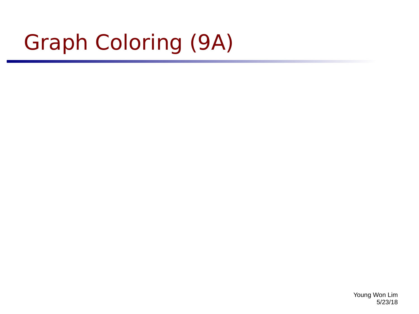# Graph Coloring (9A)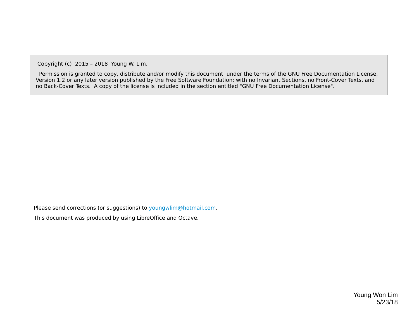Copyright (c) 2015 – 2018 Young W. Lim.

 Permission is granted to copy, distribute and/or modify this document under the terms of the GNU Free Documentation License, Version 1.2 or any later version published by the Free Software Foundation; with no Invariant Sections, no Front-Cover Texts, and no Back-Cover Texts. A copy of the license is included in the section entitled "GNU Free Documentation License".

Please send corrections (or suggestions) to [youngwlim@hotmail.com](mailto:youngwlim@hotmail.com).

This document was produced by using LibreOffice and Octave.

Young Won Lim 5/23/18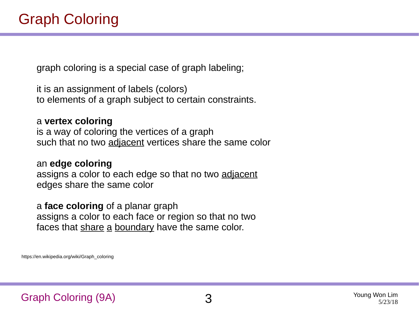graph coloring is a special case of graph labeling;

it is an assignment of labels (colors) to elements of a graph subject to certain constraints.

a **vertex coloring**  is a way of coloring the vertices of a graph such that no two adjacent vertices share the same color

an **edge coloring**  assigns a color to each edge so that no two adjacent edges share the same color

a **face coloring** of a planar graph assigns a color to each face or region so that no two faces that share a boundary have the same color.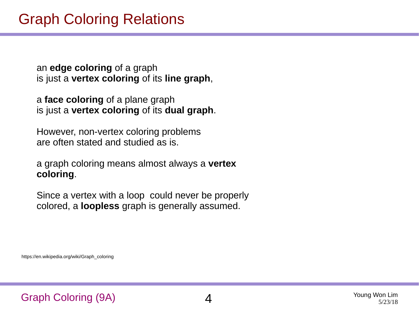an **edge coloring** of a graph is just a **vertex coloring** of its **line graph**,

a **face coloring** of a plane graph is just a **vertex coloring** of its **dual graph**.

However, non-vertex coloring problems are often stated and studied as is.

a graph coloring means almost always a **vertex coloring**.

Since a vertex with a loop could never be properly colored, a **loopless** graph is generally assumed.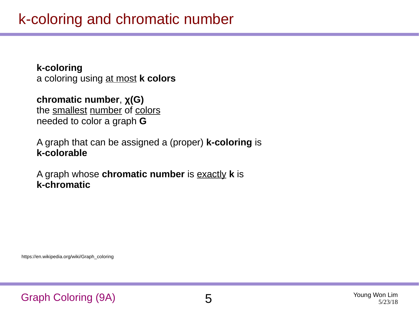**k-coloring** a coloring using at most **k colors**

**chromatic number**, **χ(G)** the smallest number of colors needed to color a graph **G**

A graph that can be assigned a (proper) **k-coloring** is **k-colorable**

A graph whose **chromatic number** is exactly **k** is **k-chromatic**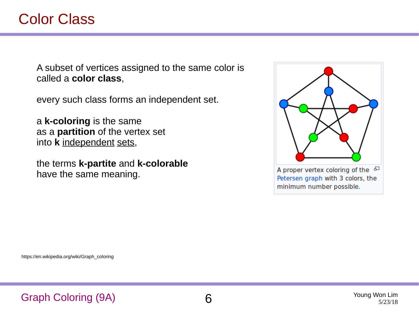A subset of vertices assigned to the same color is called a **color class**,

every such class forms an independent set.

a **k-coloring** is the same as a **partition** of the vertex set into **k** independent sets,

the terms **k-partite** and **k-colorable**  have the same meaning.

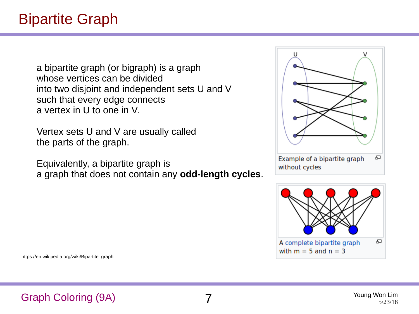a bipartite graph (or bigraph) is a graph whose vertices can be divided into two disjoint and independent sets U and V such that every edge connects a vertex in U to one in V.

Vertex sets U and V are usually called the parts of the graph.

Equivalently, a bipartite graph is a graph that does not contain any **odd-length cycles**.





https://en.wikipedia.org/wiki/Bipartite\_graph

### Graph Coloring (9A) 7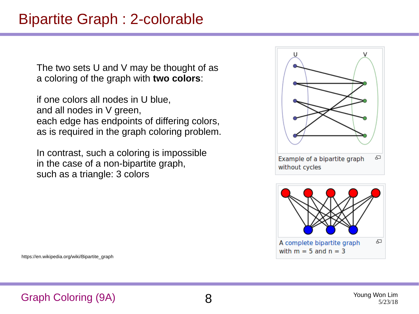## Bipartite Graph : 2-colorable

The two sets U and V may be thought of as a coloring of the graph with **two colors**:

if one colors all nodes in U blue, and all nodes in V green, each edge has endpoints of differing colors, as is required in the graph coloring problem.

In contrast, such a coloring is impossible in the case of a non-bipartite graph, such as a triangle: 3 colors





https://en.wikipedia.org/wiki/Bipartite\_graph

### Graph Coloring (9A) 8

Young Won Lim 5/23/18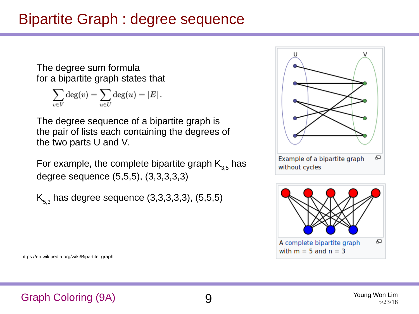## Bipartite Graph : degree sequence

The degree sum formula for a bipartite graph states that

$$
\sum_{v\in V} \deg(v) = \sum_{u\in U} \deg(u) = |E|\,.
$$

The degree sequence of a bipartite graph is the pair of lists each containing the degrees of the two parts U and V.

For example, the complete bipartite graph  $K_{3,5}$  has degree sequence (5,5,5), (3,3,3,3,3)

 $K_{5,3}$  has degree sequence (3,3,3,3,3), (5,5,5)





https://en.wikipedia.org/wiki/Bipartite\_graph